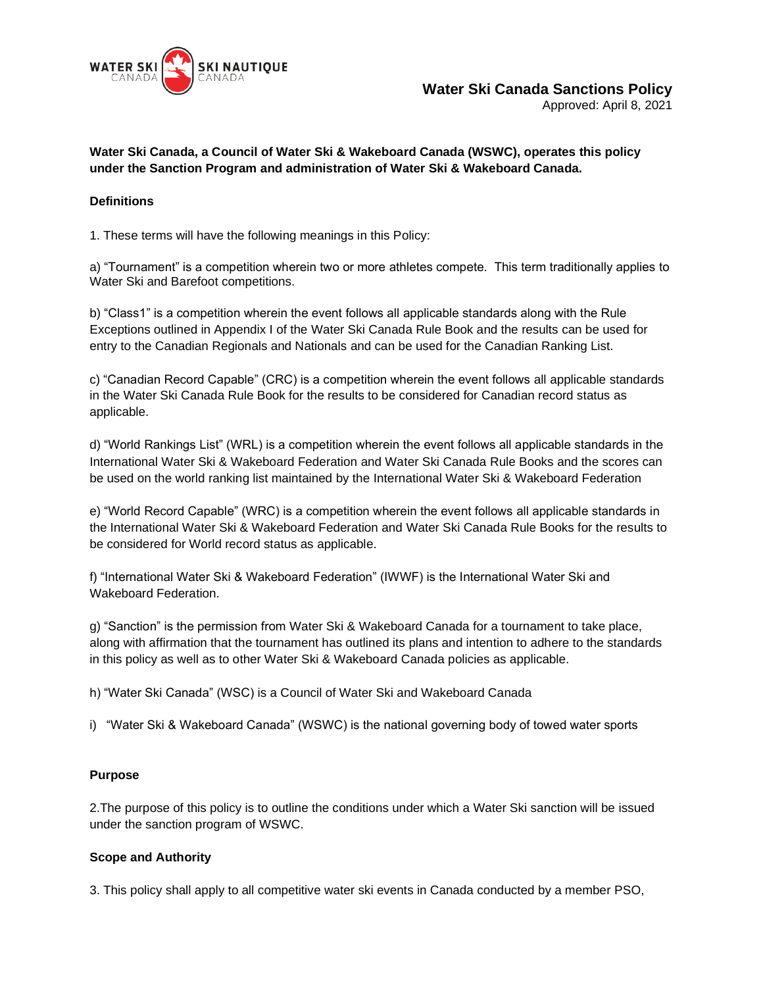

Approved: April 8, 2021

### **Water Ski Canada, a Council of Water Ski & Wakeboard Canada (WSWC), operates this policy under the Sanction Program and administration of Water Ski & Wakeboard Canada.**

### **Definitions**

1. These terms will have the following meanings in this Policy:

a) "Tournament" is a competition wherein two or more athletes compete. This term traditionally applies to Water Ski and Barefoot competitions.

b) "Class1" is a competition wherein the event follows all applicable standards along with the Rule Exceptions outlined in Appendix I of the Water Ski Canada Rule Book and the results can be used for entry to the Canadian Regionals and Nationals and can be used for the Canadian Ranking List.

c) "Canadian Record Capable" (CRC) is a competition wherein the event follows all applicable standards in the Water Ski Canada Rule Book for the results to be considered for Canadian record status as applicable.

d) "World Rankings List" (WRL) is a competition wherein the event follows all applicable standards in the International Water Ski & Wakeboard Federation and Water Ski Canada Rule Books and the scores can be used on the world ranking list maintained by the International Water Ski & Wakeboard Federation

e) "World Record Capable" (WRC) is a competition wherein the event follows all applicable standards in the International Water Ski & Wakeboard Federation and Water Ski Canada Rule Books for the results to be considered for World record status as applicable.

f) "International Water Ski & Wakeboard Federation" (IWWF) is the International Water Ski and Wakeboard Federation.

g) "Sanction" is the permission from Water Ski & Wakeboard Canada for a tournament to take place, along with affirmation that the tournament has outlined its plans and intention to adhere to the standards in this policy as well as to other Water Ski & Wakeboard Canada policies as applicable.

h) "Water Ski Canada" (WSC) is a Council of Water Ski and Wakeboard Canada

i) "Water Ski & Wakeboard Canada" (WSWC) is the national governing body of towed water sports

### **Purpose**

2.The purpose of this policy is to outline the conditions under which a Water Ski sanction will be issued under the sanction program of WSWC.

### **Scope and Authority**

3. This policy shall apply to all competitive water ski events in Canada conducted by a member PSO,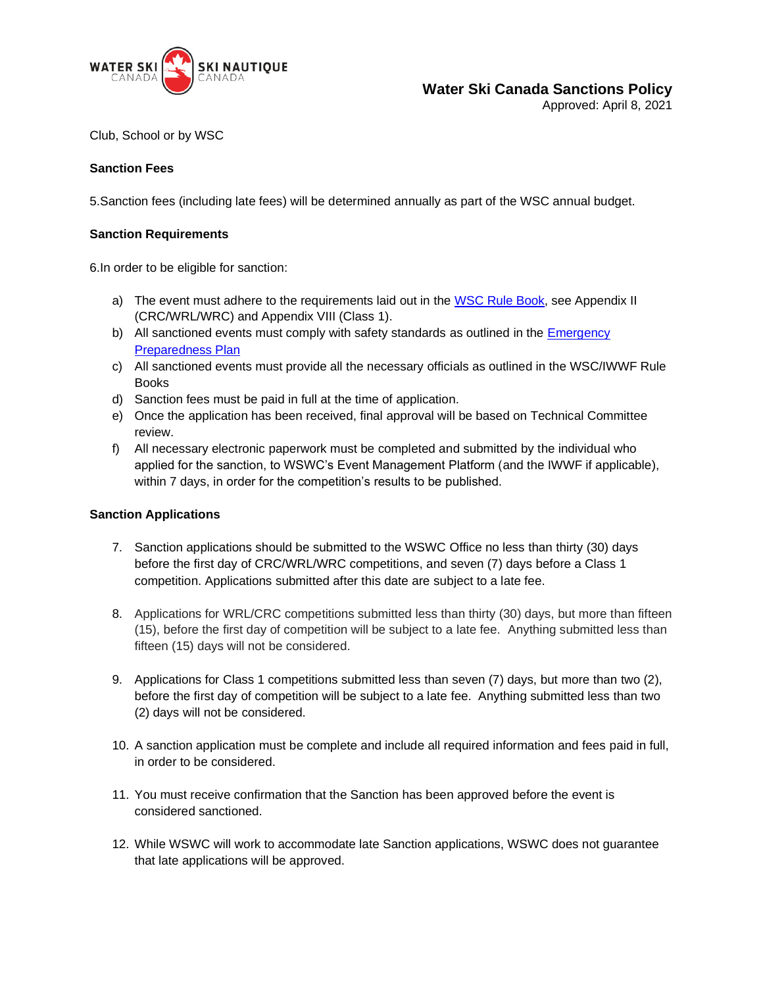

# **Water Ski Canada Sanctions Policy**

Approved: April 8, 2021

Club, School or by WSC

### **Sanction Fees**

5.Sanction fees (including late fees) will be determined annually as part of the WSC annual budget.

#### **Sanction Requirements**

6.In order to be eligible for sanction:

- a) The event must adhere to the requirements laid out in the [WSC Rule Book,](https://waterskicanada.ca/wp-content/uploads/2021-WS-Rule-Book-ENG.pdf) see Appendix II (CRC/WRL/WRC) and Appendix VIII (Class 1).
- b) All sanctioned events must comply with safety standards as outlined in the Emergency [Preparedness Plan](https://waterskicanada.ca/wp-content/uploads/WSWC-Emergency-Preparedness-Plan-PUBLIC-Dec-28-2016.pdf)
- c) All sanctioned events must provide all the necessary officials as outlined in the WSC/IWWF Rule Books
- d) Sanction fees must be paid in full at the time of application.
- e) Once the application has been received, final approval will be based on Technical Committee review.
- f) All necessary electronic paperwork must be completed and submitted by the individual who applied for the sanction, to WSWC's Event Management Platform (and the IWWF if applicable), within 7 days, in order for the competition's results to be published.

#### **Sanction Applications**

- 7. Sanction applications should be submitted to the WSWC Office no less than thirty (30) days before the first day of CRC/WRL/WRC competitions, and seven (7) days before a Class 1 competition. Applications submitted after this date are subject to a late fee.
- 8. Applications for WRL/CRC competitions submitted less than thirty (30) days, but more than fifteen (15), before the first day of competition will be subject to a late fee. Anything submitted less than fifteen (15) days will not be considered.
- 9. Applications for Class 1 competitions submitted less than seven (7) days, but more than two (2), before the first day of competition will be subject to a late fee. Anything submitted less than two (2) days will not be considered.
- 10. A sanction application must be complete and include all required information and fees paid in full, in order to be considered.
- 11. You must receive confirmation that the Sanction has been approved before the event is considered sanctioned.
- 12. While WSWC will work to accommodate late Sanction applications, WSWC does not guarantee that late applications will be approved.